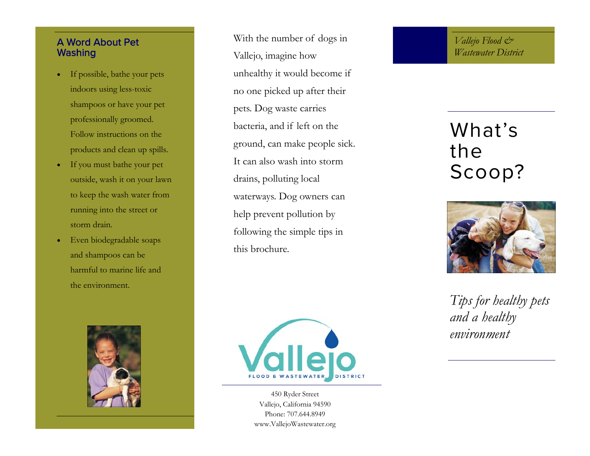#### A Word About Pet **Washing**

- $\bullet$  If possible, bathe your pets indoors using less-toxic shampoos or have your pet professionally groomed. Follow instructions on the products and clean up spills.
- $\bullet$  If you must bathe your pet outside, wash it on your lawn to keep the wash water from running into the street or storm drain.
- $\bullet$  Even biodegradable soaps and shampoos can be harmful to marine life and the environment.



With the number of dogs in Vallejo, imagine how unhealthy it would become if no one picked up after their pets. Dog waste carries bacteria, and if left on the ground, can make people sick. It can also wash into storm drains, polluting local waterways. Dog owners can help prevent pollution by following the simple tips in this brochure.



450 Ryder Street Vallejo, California 94590 Phone: 707.644.8949 www.VallejoWastewater.org *Vallejo Flood & Wastewater District* 

# What's the Scoop?



*Tips for healthy pets and a healthy environment*